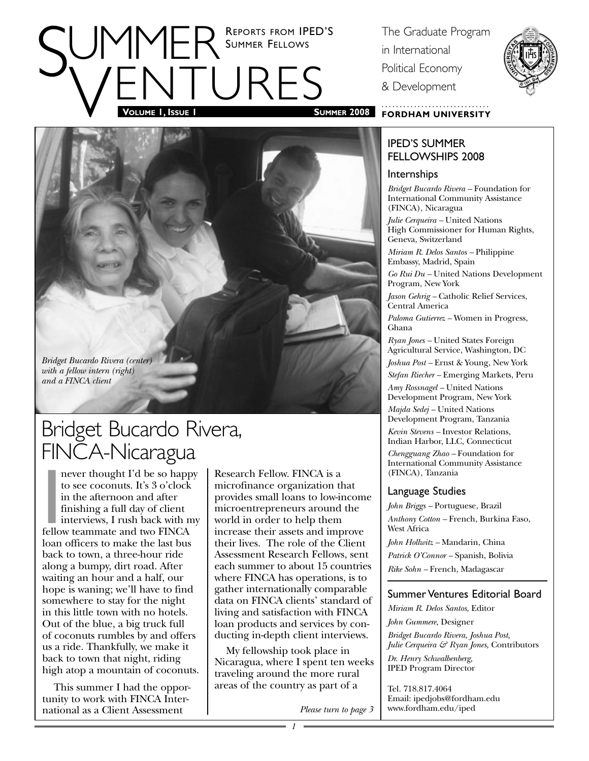# SUMMER SUMMER FELLOWS The Graduate Program<br>
FINTIJRES BOWER SUMMER FELLOWS in International<br>
Political Economy<br>
& Development SUMMER 2008 FORDHAM UNIVERSITY REPORTS FROM IPED'S SUMMER FELLOWS

*Bridget Bucardo Rivera (center) with a fellow intern (right) and a FINCA client*

## Bridget Bucardo Rivera, FINCA-Nicaragua

never thought I'd be so happ<br>to see coconuts. It's 3 o'clock<br>in the afternoon and after<br>finishing a full day of client<br>interviews, I rush back with r<br>fellow teammate and two FINCA<br>leap officers to make the lest by never thought I'd be so happy to see coconuts. It's 3 o'clock in the afternoon and after finishing a full day of client interviews, I rush back with my loan officers to make the last bus back to town, a three-hour ride along a bumpy, dirt road. After waiting an hour and a half, our hope is waning; we'll have to find somewhere to stay for the night in this little town with no hotels. Out of the blue, a big truck full of coconuts rumbles by and offers us a ride. Thankfully, we make it back to town that night, riding high atop a mountain of coconuts.

This summer I had the opportunity to work with FINCA International as a Client Assessment

Research Fellow. FINCA is a microfinance organization that provides small loans to low-income microentrepreneurs around the world in order to help them increase their assets and improve their lives. The role of the Client Assessment Research Fellows, sent each summer to about 15 countries where FINCA has operations, is to gather internationally comparable data on FINCA clients' standard of living and satisfaction with FINCA loan products and services by conducting in-depth client interviews.

My fellowship took place in Nicaragua, where I spent ten weeks traveling around the more rural areas of the country as part of a

in International Political Economy & Development



### **FORDHAM UNIVERSITY**

### IPED'S SUMMER FELLOWSHIPS 2008

Internships

*Bridget Bucardo Rivera –* Foundation for International Community Assistance (FINCA), Nicaragua

*Julie Cerqueira –* United Nations High Commissioner for Human Rights, Geneva, Switzerland

*Miriam R. Delos Santos –* Philippine Embassy, Madrid, Spain

*Go Rui Du –* United Nations Development Program, New York

*Jason Gehrig –* Catholic Relief Services, Central America

*Paloma Gutierrez –* Women in Progress, Ghana

*Ryan Jones –* United States Foreign Agricultural Service, Washington, DC

*Joshua Post –* Ernst & Young, New York *Stefan Riecher –* Emerging Markets, Peru

*Amy Rossnagel –* United Nations Development Program, New York

*Majda Sedej –* United Nations Development Program, Tanzania

*Kevin Stevens –* Investor Relations, Indian Harbor, LLC, Connecticut

*Chengguang Zhao –* Foundation for International Community Assistance (FINCA), Tanzania

### Language Studies

*John Briggs –* Portuguese, Brazil *Anthony Cotton –* French, Burkina Faso, West Africa

*John Hollwitz –* Mandarin, China

*Patrick O'Connor –* Spanish, Bolivia

*Rike Sohn –* French, Madagascar

### Summer Ventures Editorial Board

*Miriam R. Delos Santos,* Editor

*John Gummere,* Designer

*Bridget Bucardo Rivera, Joshua Post, Julie Cerqueira & Ryan Jones,* Contributors

*Dr. Henry Schwalbenberg,*  IPED Program Director

Tel. 718.817.4064 Email: ipedjobs@fordham.edu *Please turn to page 3* www.fordham.edu/iped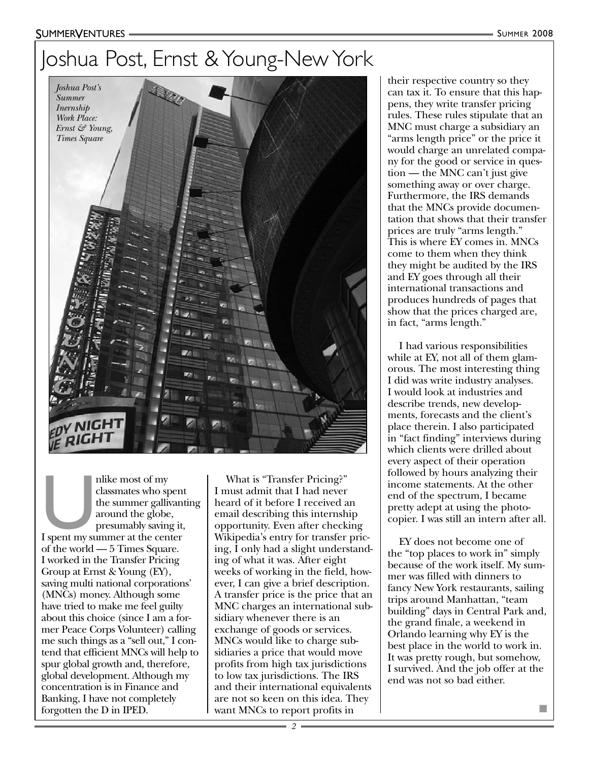#### SUMMERVENTURES

## Joshua Post, Ernst & Young-New York



nlike most of my<br>
classmates who spent<br>
the summer gallivant<br>
around the globe,<br>
presumably saving it,<br>
I spent my summer at the center<br>
of the world E Times Source classmates who spent the summer gallivanting around the globe, presumably saving it, of the world — 5 Times Square. I worked in the Transfer Pricing Group at Ernst & Young (EY), saving multi national corporations' (MNCs) money. Although some have tried to make me feel guilty about this choice (since I am a former Peace Corps Volunteer) calling me such things as a "sell out," I contend that efficient MNCs will help to spur global growth and, therefore, global development. Although my concentration is in Finance and Banking, I have not completely forgotten the D in IPED.

What is "Transfer Pricing?" I must admit that I had never heard of it before I received an email describing this internship opportunity. Even after checking Wikipedia's entry for transfer pricing, I only had a slight understanding of what it was. After eight weeks of working in the field, however, I can give a brief description. A transfer price is the price that an MNC charges an international subsidiary whenever there is an exchange of goods or services. MNCs would like to charge subsidiaries a price that would move profits from high tax jurisdictions to low tax jurisdictions. The IRS and their international equivalents are not so keen on this idea. They want MNCs to report profits in

their respective country so they can tax it. To ensure that this happens, they write transfer pricing rules. These rules stipulate that an MNC must charge a subsidiary an "arms length price" or the price it would charge an unrelated company for the good or service in question — the MNC can't just give something away or over charge. Furthermore, the IRS demands that the MNCs provide documentation that shows that their transfer prices are truly "arms length." This is where EY comes in. MNCs come to them when they think they might be audited by the IRS and EY goes through all their international transactions and produces hundreds of pages that show that the prices charged are, in fact, "arms length."

I had various responsibilities while at EY, not all of them glamorous. The most interesting thing I did was write industry analyses. I would look at industries and describe trends, new developments, forecasts and the client's place therein. I also participated in "fact finding" interviews during which clients were drilled about every aspect of their operation followed by hours analyzing their income statements. At the other end of the spectrum, I became pretty adept at using the photocopier. I was still an intern after all.

EY does not become one of the "top places to work in" simply because of the work itself. My summer was filled with dinners to fancy New York restaurants, sailing trips around Manhattan, "team building" days in Central Park and, the grand finale, a weekend in Orlando learning why EY is the best place in the world to work in. It was pretty rough, but somehow, I survived. And the job offer at the end was not so bad either.

■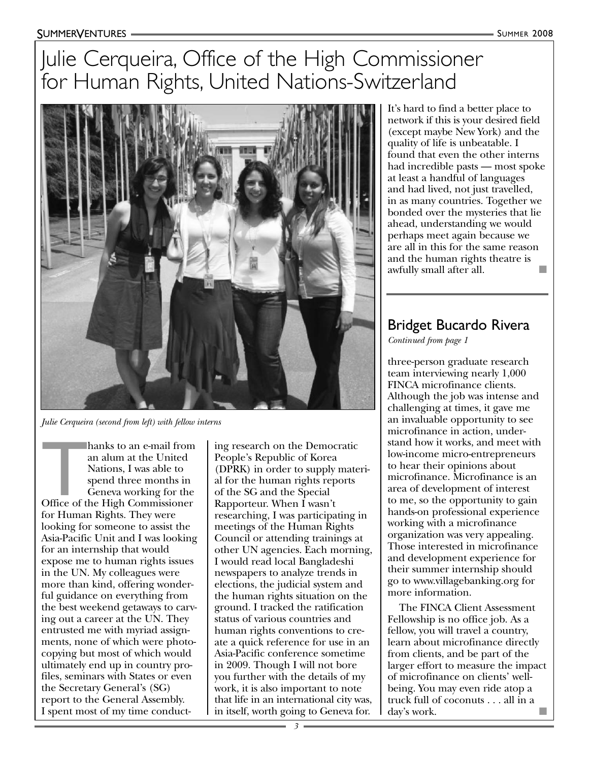## Julie Cerqueira, Office of the High Commissioner for Human Rights, United Nations-Switzerland



*Julie Cerqueira (second from left) with fellow interns*

hanks to an e-mail from<br>
an alum at the United<br>
Nations, I was able to<br>
spend three months in<br>
Geneva working for the<br>
Office of the High Commissioner<br>
for Human Bights, They were hanks to an e-mail from an alum at the United Nations, I was able to spend three months in Geneva working for the for Human Rights. They were looking for someone to assist the Asia-Pacific Unit and I was looking for an internship that would expose me to human rights issues in the UN. My colleagues were more than kind, offering wonderful guidance on everything from the best weekend getaways to carving out a career at the UN. They entrusted me with myriad assignments, none of which were photocopying but most of which would ultimately end up in country profiles, seminars with States or even the Secretary General's (SG) report to the General Assembly. I spent most of my time conducting research on the Democratic People's Republic of Korea (DPRK) in order to supply material for the human rights reports of the SG and the Special Rapporteur. When I wasn't researching, I was participating in meetings of the Human Rights Council or attending trainings at other UN agencies. Each morning, I would read local Bangladeshi newspapers to analyze trends in elections, the judicial system and the human rights situation on the ground. I tracked the ratification status of various countries and human rights conventions to create a quick reference for use in an Asia-Pacific conference sometime in 2009. Though I will not bore you further with the details of my work, it is also important to note that life in an international city was, in itself, worth going to Geneva for.

It's hard to find a better place to network if this is your desired field (except maybe New York) and the quality of life is unbeatable. I found that even the other interns had incredible pasts — most spoke at least a handful of languages and had lived, not just travelled, in as many countries. Together we bonded over the mysteries that lie ahead, understanding we would perhaps meet again because we are all in this for the same reason and the human rights theatre is awfully small after all.

### Bridget Bucardo Rivera

*Continued from page 1*

three-person graduate research team interviewing nearly 1,000 FINCA microfinance clients. Although the job was intense and challenging at times, it gave me an invaluable opportunity to see microfinance in action, understand how it works, and meet with low-income micro-entrepreneurs to hear their opinions about microfinance. Microfinance is an area of development of interest to me, so the opportunity to gain hands-on professional experience working with a microfinance organization was very appealing. Those interested in microfinance and development experience for their summer internship should go to www.villagebanking.org for more information.

The FINCA Client Assessment Fellowship is no office job. As a fellow, you will travel a country, learn about microfinance directly from clients, and be part of the larger effort to measure the impact of microfinance on clients' wellbeing. You may even ride atop a truck full of coconuts . . . all in a day's work.